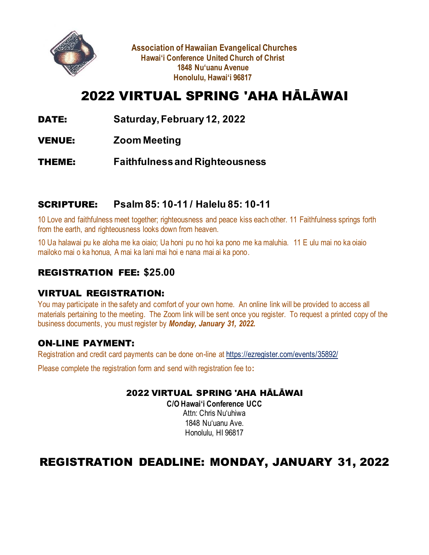

**Association of Hawaiian Evangelical Churches Hawai'i Conference United Church of Christ 1848 Nu'uanu Avenue Honolulu, Hawai'i 96817**

## 2022 VIRTUAL SPRING 'AHA HĀLĀWAI

- DATE: **Saturday, February12, 2022**
- VENUE: **Zoom Meeting**

THEME: **Faithfulness and Righteousness**

#### SCRIPTURE: **Psalm 85: 10-11 / Halelu 85: 10-11**

10 Love and faithfulness meet together; righteousness and peace kiss each other. 11 Faithfulness springs forth from the earth, and righteousness looks down from heaven.

10 Ua halawai pu ke aloha me ka oiaio; Ua honi pu no hoi ka pono me ka maluhia. 11 E ulu mai no ka oiaio mailoko mai o ka honua, A mai ka lani mai hoi e nana mai ai ka pono.

#### REGISTRATION FEE: **\$25.00**

#### VIRTUAL REGISTRATION:

You may participate in the safety and comfort of your own home. An online link will be provided to access all materials pertaining to the meeting. The Zoom link will be sent once you register. To request a printed copy of the business documents, you must register by *Monday, January 31, 2022.*

#### ON-LINE PAYMENT:

Registration and credit card payments can be done on-line at https://ezregister.com/events/35892/

Please complete the registration form and send with registration fee to**:**

#### 2022 VIRTUAL SPRING 'AHA HĀLĀWAI

**C/O Hawai'i Conference UCC** Attn: Chris Nu'uhiwa 1848 Nu'uanu Ave. Honolulu, HI 96817

## REGISTRATION DEADLINE: MONDAY, JANUARY 31, 2022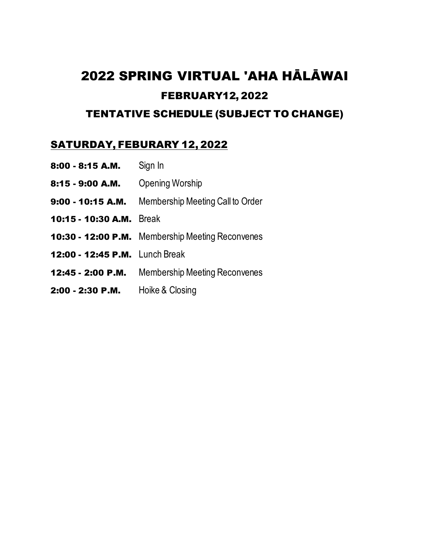# 2022 SPRING VIRTUAL 'AHA HĀLĀWAI FEBRUARY12, 2022

#### TENTATIVE SCHEDULE (SUBJECT TO CHANGE)

#### SATURDAY, FEBURARY 12, 2022

- 8:00 8:15 A.M. Sign In
- 8:15 9:00 A.M. Opening Worship
- 9:00 10:15 A.M. Membership Meeting Call to Order
- 10:15 10:30 A.M. Break
- 10:30 12:00 P.M. Membership Meeting Reconvenes
- 12:00 12:45 P.M. Lunch Break
- 12:45 2:00 P.M. Membership Meeting Reconvenes
- 2:00 2:30 P.M. Hoike & Closing